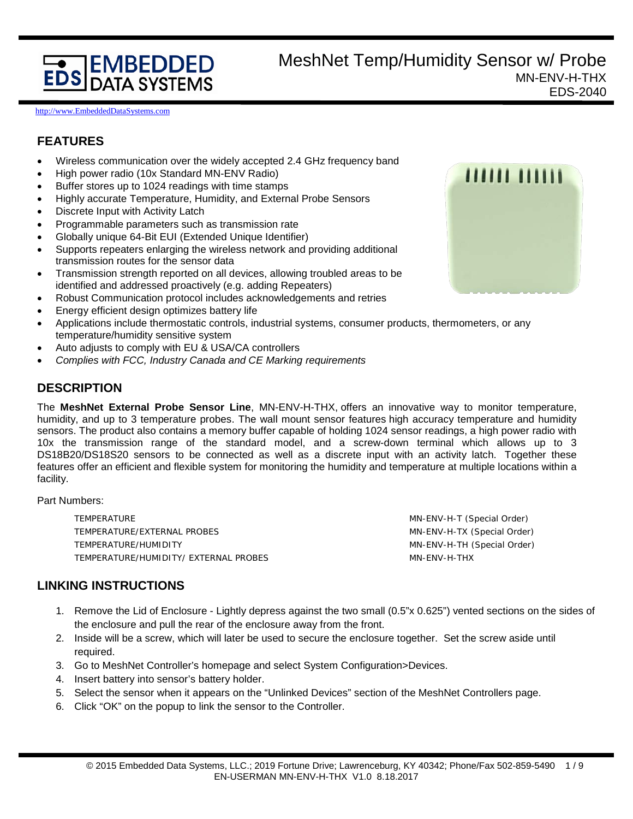# **EDS DATA SYSTEMS**

## MeshNet Temp/Humidity Sensor w/ Probe MN-ENV-H-THX EDS-2040

[http://www.EmbeddedDataSystems.com](http://www.embeddeddatasystems.com/)

## **FEATURES**

- Wireless communication over the widely accepted 2.4 GHz frequency band
- High power radio (10x Standard MN-ENV Radio)
- Buffer stores up to 1024 readings with time stamps
- Highly accurate Temperature, Humidity, and External Probe Sensors
- Discrete Input with Activity Latch
- Programmable parameters such as transmission rate
- Globally unique 64-Bit EUI (Extended Unique Identifier)
- Supports repeaters enlarging the wireless network and providing additional transmission routes for the sensor data
- Transmission strength reported on all devices, allowing troubled areas to be identified and addressed proactively (e.g. adding Repeaters)
- Robust Communication protocol includes acknowledgements and retries
- Energy efficient design optimizes battery life
- Applications include thermostatic controls, industrial systems, consumer products, thermometers, or any temperature/humidity sensitive system
- Auto adjusts to comply with EU & USA/CA controllers
- *Complies with FCC, Industry Canada and CE Marking requirements*

## **DESCRIPTION**

The **MeshNet External Probe Sensor Line**, MN-ENV-H-THX, offers an innovative way to monitor temperature, humidity, and up to 3 temperature probes. The wall mount sensor features high accuracy temperature and humidity sensors. The product also contains a memory buffer capable of holding 1024 sensor readings, a high power radio with 10x the transmission range of the standard model, and a screw-down terminal which allows up to 3 DS18B20/DS18S20 sensors to be connected as well as a discrete input with an activity latch. Together these features offer an efficient and flexible system for monitoring the humidity and temperature at multiple locations within a facility.

Part Numbers:

TEMPERATURE TEMPERATURE TEMPERATURE MELLEMENT SUBSERVED ASSESSED AND MUSIC MUSIC MELLEMENT OF SERVICE OF A SERVED AND THE MELLEMENT OF A SERVED OF A SERVED OF A SERVED OF A SERVED OF A SERVED OF A SERVED OF A SERVED OF A S TEMPERATURE/EXTERNAL PROBES TEMPERATURE IN A SERVER SERVICE OF A SERVICE ORDER MIN-ENV-H-TX (Special Order) TEMPERATURE/HUMIDITY **MILLET CONSUMING THE CONSUMING THE CONSUMING THE CONSUMING THE CONSUMING THE CONSUMING THE CONSUMING THE CONSUMING THE CONSUMING THE CONSUMING THE CONSUMING THE CONSUMING THE CONSUMING THE CONSUMING T** TEMPERATURE/HUMIDITY/ EXTERNAL PROBES MAN-ENV-H-THX

## **LINKING INSTRUCTIONS**

- 1. Remove the Lid of Enclosure Lightly depress against the two small (0.5"x 0.625") vented sections on the sides of the enclosure and pull the rear of the enclosure away from the front.
- 2. Inside will be a screw, which will later be used to secure the enclosure together. Set the screw aside until required.
- 3. Go to MeshNet Controller's homepage and select System Configuration>Devices.
- 4. Insert battery into sensor's battery holder.
- 5. Select the sensor when it appears on the "Unlinked Devices" section of the MeshNet Controllers page.
- 6. Click "OK" on the popup to link the sensor to the Controller.

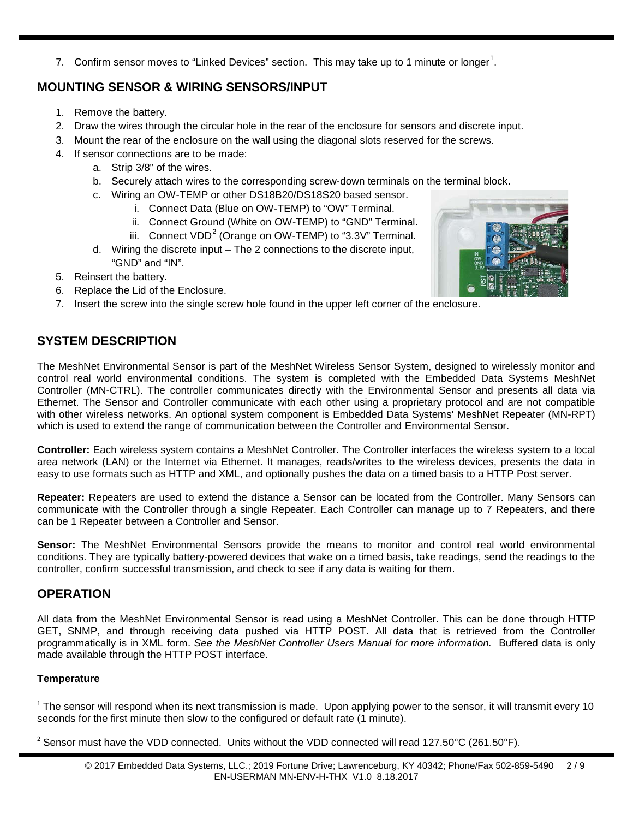7. Confirm sensor moves to "Linked Devices" section. This may take up to [1](#page-1-0) minute or longer<sup>1</sup>.

## **MOUNTING SENSOR & WIRING SENSORS/INPUT**

- 1. Remove the battery.
- 2. Draw the wires through the circular hole in the rear of the enclosure for sensors and discrete input.
- 3. Mount the rear of the enclosure on the wall using the diagonal slots reserved for the screws.
- 4. If sensor connections are to be made:
	- a. Strip 3/8" of the wires.
	- b. Securely attach wires to the corresponding screw-down terminals on the terminal block.
	- c. Wiring an OW-TEMP or other DS18B20/DS18S20 based sensor.
		- i. Connect Data (Blue on OW-TEMP) to "OW" Terminal.
		- ii. Connect Ground (White on OW-TEMP) to "GND" Terminal.
		- iii. Connect VDD<sup>[2](#page-1-1)</sup> (Orange on OW-TEMP) to "3.3V" Terminal.
	- d. Wiring the discrete input The 2 connections to the discrete input, "GND" and "IN".
- 5. Reinsert the battery.
- 6. Replace the Lid of the Enclosure.
- 7. Insert the screw into the single screw hole found in the upper left corner of the enclosure.

## **SYSTEM DESCRIPTION**

The MeshNet Environmental Sensor is part of the MeshNet Wireless Sensor System, designed to wirelessly monitor and control real world environmental conditions. The system is completed with the Embedded Data Systems MeshNet Controller (MN-CTRL). The controller communicates directly with the Environmental Sensor and presents all data via Ethernet. The Sensor and Controller communicate with each other using a proprietary protocol and are not compatible with other wireless networks. An optional system component is Embedded Data Systems' MeshNet Repeater (MN-RPT) which is used to extend the range of communication between the Controller and Environmental Sensor.

**Controller:** Each wireless system contains a MeshNet Controller. The Controller interfaces the wireless system to a local area network (LAN) or the Internet via Ethernet. It manages, reads/writes to the wireless devices, presents the data in easy to use formats such as HTTP and XML, and optionally pushes the data on a timed basis to a HTTP Post server.

**Repeater:** Repeaters are used to extend the distance a Sensor can be located from the Controller. Many Sensors can communicate with the Controller through a single Repeater. Each Controller can manage up to 7 Repeaters, and there can be 1 Repeater between a Controller and Sensor.

**Sensor:** The MeshNet Environmental Sensors provide the means to monitor and control real world environmental conditions. They are typically battery-powered devices that wake on a timed basis, take readings, send the readings to the controller, confirm successful transmission, and check to see if any data is waiting for them.

## **OPERATION**

All data from the MeshNet Environmental Sensor is read using a MeshNet Controller. This can be done through HTTP GET, SNMP, and through receiving data pushed via HTTP POST. All data that is retrieved from the Controller programmatically is in XML form. *See the MeshNet Controller Users Manual for more information.* Buffered data is only made available through the HTTP POST interface.

#### **Temperature**



<span id="page-1-0"></span> $1$  The sensor will respond when its next transmission is made. Upon applying power to the sensor, it will transmit every 10 seconds for the first minute then slow to the configured or default rate (1 minute).  $\overline{a}$ 

<span id="page-1-1"></span><sup>&</sup>lt;sup>2</sup> Sensor must have the VDD connected. Units without the VDD connected will read 127.50°C (261.50°F).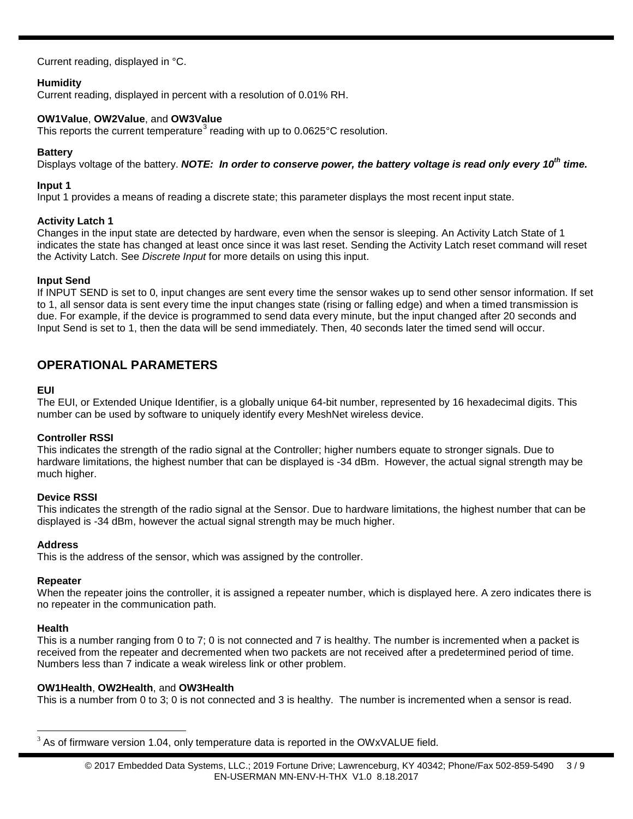Current reading, displayed in °C.

#### **Humidity**

Current reading, displayed in percent with a resolution of 0.01% RH.

#### **OW1Value**, **OW2Value**, and **OW3Value**

This reports the current temperature<sup>[3](#page-2-0)</sup> reading with up to  $0.0625^{\circ}$ C resolution.

#### **Battery**

Displays voltage of the battery. *NOTE: In order to conserve power, the battery voltage is read only every 10<sup>th</sup> time.* 

#### **Input 1**

Input 1 provides a means of reading a discrete state; this parameter displays the most recent input state.

#### **Activity Latch 1**

Changes in the input state are detected by hardware, even when the sensor is sleeping. An Activity Latch State of 1 indicates the state has changed at least once since it was last reset. Sending the Activity Latch reset command will reset the Activity Latch. See *Discrete Input* for more details on using this input.

#### **Input Send**

If INPUT SEND is set to 0, input changes are sent every time the sensor wakes up to send other sensor information. If set to 1, all sensor data is sent every time the input changes state (rising or falling edge) and when a timed transmission is due. For example, if the device is programmed to send data every minute, but the input changed after 20 seconds and Input Send is set to 1, then the data will be send immediately. Then, 40 seconds later the timed send will occur.

## **OPERATIONAL PARAMETERS**

#### **EUI**

The EUI, or Extended Unique Identifier, is a globally unique 64-bit number, represented by 16 hexadecimal digits. This number can be used by software to uniquely identify every MeshNet wireless device.

#### **Controller RSSI**

This indicates the strength of the radio signal at the Controller; higher numbers equate to stronger signals. Due to hardware limitations, the highest number that can be displayed is -34 dBm. However, the actual signal strength may be much higher.

#### **Device RSSI**

This indicates the strength of the radio signal at the Sensor. Due to hardware limitations, the highest number that can be displayed is -34 dBm, however the actual signal strength may be much higher.

#### **Address**

This is the address of the sensor, which was assigned by the controller.

#### **Repeater**

When the repeater joins the controller, it is assigned a repeater number, which is displayed here. A zero indicates there is no repeater in the communication path.

#### **Health**

 $\overline{a}$ 

This is a number ranging from 0 to 7; 0 is not connected and 7 is healthy. The number is incremented when a packet is received from the repeater and decremented when two packets are not received after a predetermined period of time. Numbers less than 7 indicate a weak wireless link or other problem.

#### **OW1Health**, **OW2Health**, and **OW3Health**

This is a number from 0 to 3; 0 is not connected and 3 is healthy. The number is incremented when a sensor is read.

<span id="page-2-0"></span> $3$  As of firmware version 1.04, only temperature data is reported in the OWxVALUE field.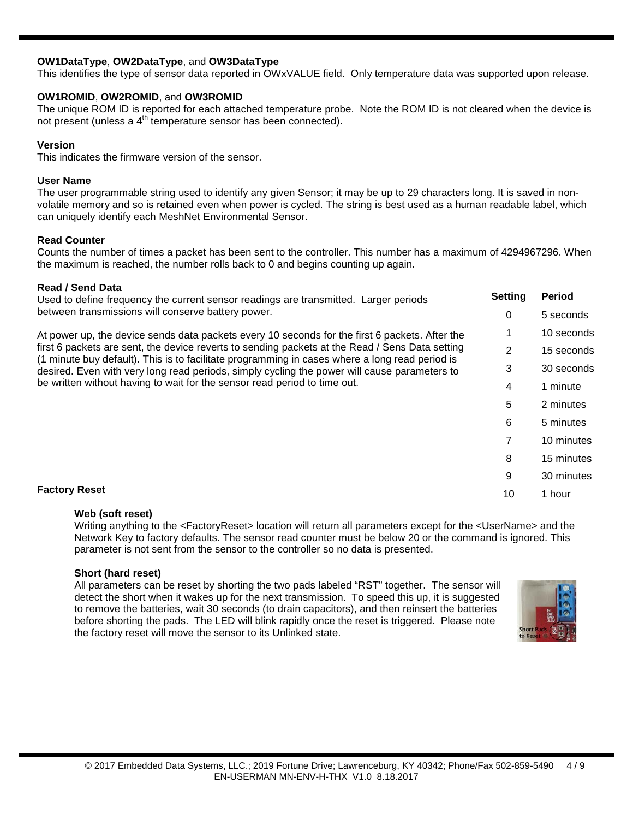#### **OW1DataType**, **OW2DataType**, and **OW3DataType**

This identifies the type of sensor data reported in OWxVALUE field. Only temperature data was supported upon release.

#### **OW1ROMID**, **OW2ROMID**, and **OW3ROMID**

The unique ROM ID is reported for each attached temperature probe. Note the ROM ID is not cleared when the device is not present (unless a 4<sup>th</sup> temperature sensor has been connected).

#### **Version**

This indicates the firmware version of the sensor.

#### **User Name**

The user programmable string used to identify any given Sensor; it may be up to 29 characters long. It is saved in nonvolatile memory and so is retained even when power is cycled. The string is best used as a human readable label, which can uniquely identify each MeshNet Environmental Sensor.

#### **Read Counter**

Counts the number of times a packet has been sent to the controller. This number has a maximum of 4294967296. When the maximum is reached, the number rolls back to 0 and begins counting up again.

#### **Read / Send Data**

| Used to define frequency the current sensor readings are transmitted. Larger periods                                                                                                                                                                                                                                                                                           |    | <b>Period</b> |
|--------------------------------------------------------------------------------------------------------------------------------------------------------------------------------------------------------------------------------------------------------------------------------------------------------------------------------------------------------------------------------|----|---------------|
| between transmissions will conserve battery power.                                                                                                                                                                                                                                                                                                                             | 0  | 5 seconds     |
| At power up, the device sends data packets every 10 seconds for the first 6 packets. After the                                                                                                                                                                                                                                                                                 |    | 10 seconds    |
| first 6 packets are sent, the device reverts to sending packets at the Read / Sens Data setting<br>(1 minute buy default). This is to facilitate programming in cases where a long read period is<br>desired. Even with very long read periods, simply cycling the power will cause parameters to<br>be written without having to wait for the sensor read period to time out. | 2  | 15 seconds    |
|                                                                                                                                                                                                                                                                                                                                                                                | 3  | 30 seconds    |
|                                                                                                                                                                                                                                                                                                                                                                                | 4  | 1 minute      |
|                                                                                                                                                                                                                                                                                                                                                                                | 5  | 2 minutes     |
|                                                                                                                                                                                                                                                                                                                                                                                | 6  | 5 minutes     |
|                                                                                                                                                                                                                                                                                                                                                                                |    | 10 minutes    |
|                                                                                                                                                                                                                                                                                                                                                                                | 8  | 15 minutes    |
|                                                                                                                                                                                                                                                                                                                                                                                | 9  | 30 minutes    |
| <b>Factory Reset</b>                                                                                                                                                                                                                                                                                                                                                           | 10 | 1 hour        |
|                                                                                                                                                                                                                                                                                                                                                                                |    |               |

#### **Web (soft reset)**

Writing anything to the <FactoryReset> location will return all parameters except for the <UserName> and the Network Key to factory defaults. The sensor read counter must be below 20 or the command is ignored. This parameter is not sent from the sensor to the controller so no data is presented.

#### **Short (hard reset)**

All parameters can be reset by shorting the two pads labeled "RST" together. The sensor will detect the short when it wakes up for the next transmission. To speed this up, it is suggested to remove the batteries, wait 30 seconds (to drain capacitors), and then reinsert the batteries before shorting the pads. The LED will blink rapidly once the reset is triggered. Please note the factory reset will move the sensor to its Unlinked state.

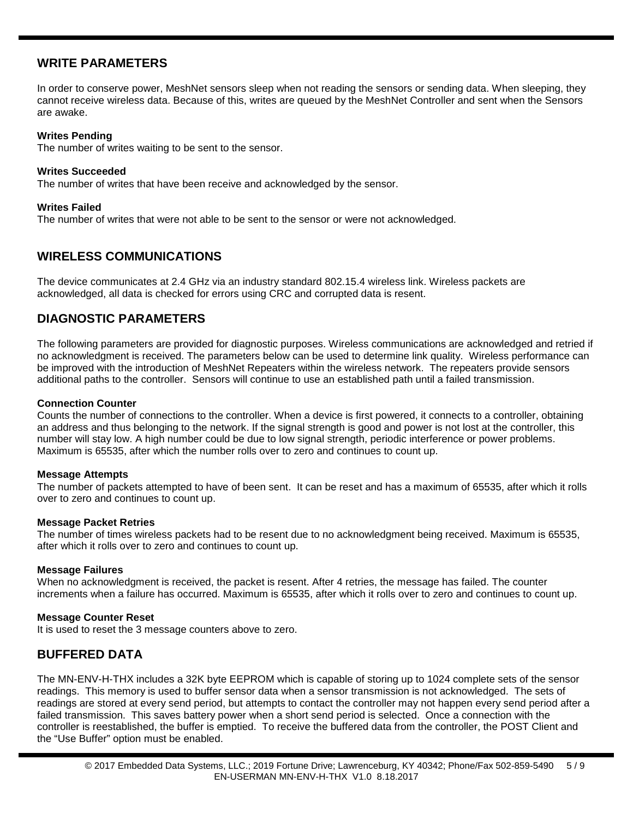## **WRITE PARAMETERS**

In order to conserve power, MeshNet sensors sleep when not reading the sensors or sending data. When sleeping, they cannot receive wireless data. Because of this, writes are queued by the MeshNet Controller and sent when the Sensors are awake.

#### **Writes Pending**

The number of writes waiting to be sent to the sensor.

#### **Writes Succeeded**

The number of writes that have been receive and acknowledged by the sensor.

#### **Writes Failed**

The number of writes that were not able to be sent to the sensor or were not acknowledged.

## **WIRELESS COMMUNICATIONS**

The device communicates at 2.4 GHz via an industry standard 802.15.4 wireless link. Wireless packets are acknowledged, all data is checked for errors using CRC and corrupted data is resent.

## **DIAGNOSTIC PARAMETERS**

The following parameters are provided for diagnostic purposes. Wireless communications are acknowledged and retried if no acknowledgment is received. The parameters below can be used to determine link quality. Wireless performance can be improved with the introduction of MeshNet Repeaters within the wireless network. The repeaters provide sensors additional paths to the controller. Sensors will continue to use an established path until a failed transmission.

#### **Connection Counter**

Counts the number of connections to the controller. When a device is first powered, it connects to a controller, obtaining an address and thus belonging to the network. If the signal strength is good and power is not lost at the controller, this number will stay low. A high number could be due to low signal strength, periodic interference or power problems. Maximum is 65535, after which the number rolls over to zero and continues to count up.

#### **Message Attempts**

The number of packets attempted to have of been sent. It can be reset and has a maximum of 65535, after which it rolls over to zero and continues to count up.

#### **Message Packet Retries**

The number of times wireless packets had to be resent due to no acknowledgment being received. Maximum is 65535, after which it rolls over to zero and continues to count up.

#### **Message Failures**

When no acknowledgment is received, the packet is resent. After 4 retries, the message has failed. The counter increments when a failure has occurred. Maximum is 65535, after which it rolls over to zero and continues to count up.

#### **Message Counter Reset**

It is used to reset the 3 message counters above to zero.

## **BUFFERED DATA**

ı

The MN-ENV-H-THX includes a 32K byte EEPROM which is capable of storing up to 1024 complete sets of the sensor readings. This memory is used to buffer sensor data when a sensor transmission is not acknowledged. The sets of readings are stored at every send period, but attempts to contact the controller may not happen every send period after a failed transmission. This saves battery power when a short send period is selected. Once a connection with the controller is reestablished, the buffer is emptied. To receive the buffered data from the controller, the POST Client and the "Use Buffer" option must be enabled.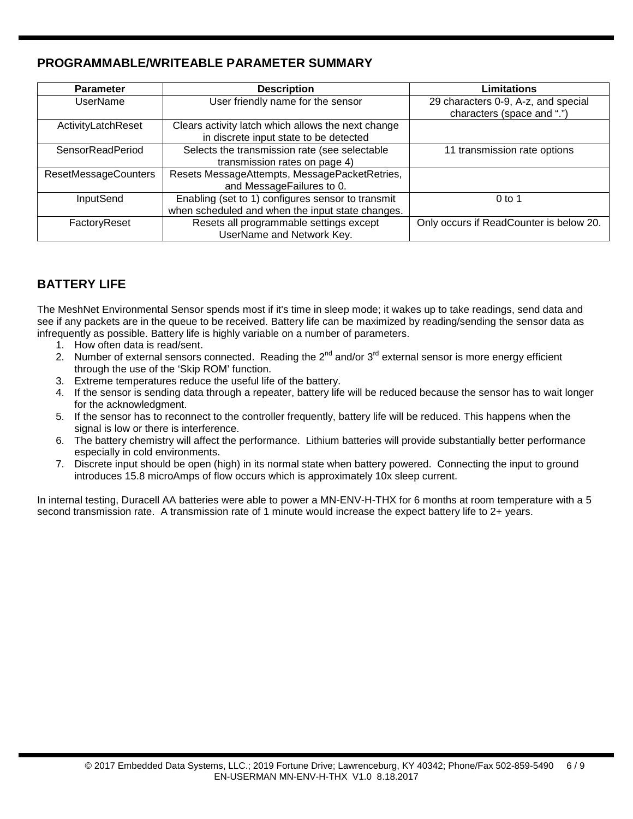## **PROGRAMMABLE/WRITEABLE PARAMETER SUMMARY**

| <b>Parameter</b>            | <b>Description</b>                                 | Limitations                                                       |
|-----------------------------|----------------------------------------------------|-------------------------------------------------------------------|
| UserName                    | User friendly name for the sensor                  | 29 characters 0-9, A-z, and special<br>characters (space and ".") |
| ActivityLatchReset          | Clears activity latch which allows the next change |                                                                   |
|                             | in discrete input state to be detected             |                                                                   |
| SensorReadPeriod            | Selects the transmission rate (see selectable      | 11 transmission rate options                                      |
|                             | transmission rates on page 4)                      |                                                                   |
| <b>ResetMessageCounters</b> | Resets MessageAttempts, MessagePacketRetries,      |                                                                   |
|                             | and MessageFailures to 0.                          |                                                                   |
| InputSend                   | Enabling (set to 1) configures sensor to transmit  | $0$ to 1                                                          |
|                             | when scheduled and when the input state changes.   |                                                                   |
| FactoryReset                | Resets all programmable settings except            | Only occurs if ReadCounter is below 20.                           |
|                             | UserName and Network Key.                          |                                                                   |

## **BATTERY LIFE**

The MeshNet Environmental Sensor spends most if it's time in sleep mode; it wakes up to take readings, send data and see if any packets are in the queue to be received. Battery life can be maximized by reading/sending the sensor data as infrequently as possible. Battery life is highly variable on a number of parameters.

- 1. How often data is read/sent.
- 2. Number of external sensors connected. Reading the  $2^{nd}$  and/or  $3^{rd}$  external sensor is more energy efficient through the use of the 'Skip ROM' function.
- 3. Extreme temperatures reduce the useful life of the battery.
- 4. If the sensor is sending data through a repeater, battery life will be reduced because the sensor has to wait longer for the acknowledgment.
- 5. If the sensor has to reconnect to the controller frequently, battery life will be reduced. This happens when the signal is low or there is interference.
- 6. The battery chemistry will affect the performance. Lithium batteries will provide substantially better performance especially in cold environments.
- 7. Discrete input should be open (high) in its normal state when battery powered. Connecting the input to ground introduces 15.8 microAmps of flow occurs which is approximately 10x sleep current.

In internal testing, Duracell AA batteries were able to power a MN-ENV-H-THX for 6 months at room temperature with a 5 second transmission rate. A transmission rate of 1 minute would increase the expect battery life to 2+ years.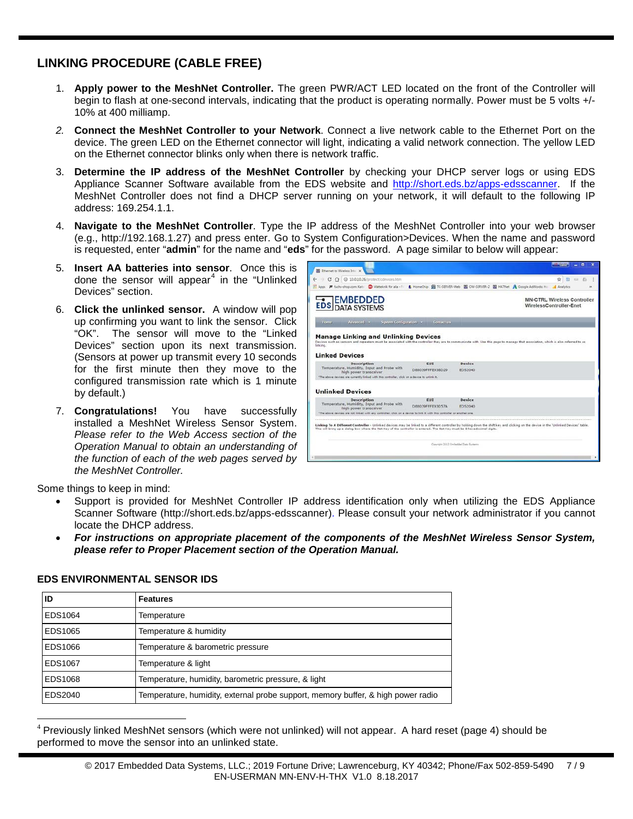## **LINKING PROCEDURE (CABLE FREE)**

- 1. **Apply power to the MeshNet Controller.** The green PWR/ACT LED located on the front of the Controller will begin to flash at one-second intervals, indicating that the product is operating normally. Power must be 5 volts +/- 10% at 400 milliamp.
- *2.* **Connect the MeshNet Controller to your Network**. Connect a live network cable to the Ethernet Port on the device. The green LED on the Ethernet connector will light, indicating a valid network connection. The yellow LED on the Ethernet connector blinks only when there is network traffic.
- 3. **Determine the IP address of the MeshNet Controller** by checking your DHCP server logs or using EDS Appliance Scanner Software available from the EDS website and [http://short.eds.bz/apps-edsscanner.](http://short.eds.bz/apps-edsscanner) If the MeshNet Controller does not find a DHCP server running on your network, it will default to the following IP address: 169.254.1.1.
- 4. **Navigate to the MeshNet Controller**. Type the IP address of the MeshNet Controller into your web browser (e.g., http://192.168.1.27) and press enter. Go to System Configuration>Devices. When the name and password is requested, enter "**admin**" for the name and "**eds**" for the password. A page similar to below will appear:
- 5. **Insert AA batteries into sensor**. Once this is done the sensor will appear<sup>[4](#page-6-0)</sup> in the "Unlinked" Devices" section.
- 6. **Click the unlinked sensor.** A window will pop up confirming you want to link the sensor. Click "OK". The sensor will move to the "Linked Devices" section upon its next transmission. (Sensors at power up transmit every 10 seconds for the first minute then they move to the configured transmission rate which is 1 minute by default.)
- 7. **Congratulations!** You have successfully installed a MeshNet Wireless Sensor System. *Please refer to the Web Access section of the Operation Manual to obtain an understanding of the function of each of the web pages served by the MeshNet Controller.*

| <b>IS</b> Ethernet to Wireless Intro-X                                                                                                                                                                                                                                                                             |                                                                                 |                |                                                               |
|--------------------------------------------------------------------------------------------------------------------------------------------------------------------------------------------------------------------------------------------------------------------------------------------------------------------|---------------------------------------------------------------------------------|----------------|---------------------------------------------------------------|
|                                                                                                                                                                                                                                                                                                                    |                                                                                 |                |                                                               |
| @ 10.0.10.26/protect/cdevices.htm<br>C.<br>$\Omega$                                                                                                                                                                                                                                                                |                                                                                 |                | ŵ<br>$= 0$                                                    |
| [1] Apps F fuchs-shop.com: Kata @ Matteknik for alla - F                                                                                                                                                                                                                                                           | & HomeChip B TC-SENER-Web B OW-SERVER-2 B HATNet A Google AdWords: Ho Analytics |                |                                                               |
| <b>EMBEDDED</b><br><b>DATA SYSTEMS</b>                                                                                                                                                                                                                                                                             |                                                                                 |                | <b>MN-CTRL Wireless Controller</b><br>WirelessController-Enet |
| Advanced -<br>Home<br>System Configuration                                                                                                                                                                                                                                                                         | Contact us                                                                      |                |                                                               |
| <b>Manage Linking and Unlinking Devices</b><br>Devices such as sensors and repeaters must be associated with the controller they are to communicate with. Use this page to manage that association, which is also referred to as<br>linking.<br><b>Linked Devices</b>                                              |                                                                                 |                |                                                               |
| <b>Description</b>                                                                                                                                                                                                                                                                                                 | EUI                                                                             | Device         |                                                               |
| Temperature, Humidity, Input and Probe with                                                                                                                                                                                                                                                                        | DRAD TOFFFF O'URD 29                                                            | <b>EDS2040</b> |                                                               |
| high power transceiver<br>"The above devices are currently linked with this controller, click on a device to unlink it.                                                                                                                                                                                            |                                                                                 |                |                                                               |
| <b>Unlinked Devices</b>                                                                                                                                                                                                                                                                                            |                                                                                 |                |                                                               |
| <b>Description</b>                                                                                                                                                                                                                                                                                                 | <b>FUT</b>                                                                      | Device         |                                                               |
| Temperature, Humidity, Input and Probe with                                                                                                                                                                                                                                                                        | D68039FFFE93D57A                                                                | EDS2040        |                                                               |
| high power transceiver<br>"The above devices are not linked with any controller, click on a device to link it with this controller or another one.                                                                                                                                                                 |                                                                                 |                |                                                               |
| Linking To A Different Controller - Uninked devices may be linked to a different controller by holding down the shift key and clicking on the device in the 'Unlinked Devices' table.<br>This will bring up a dialog box where the Net Key of the controller is entered. The Net Key must be 8 hexadecimal digits. |                                                                                 |                |                                                               |
|                                                                                                                                                                                                                                                                                                                    | Copyright 2012 Embedded Data Systems                                            |                |                                                               |
|                                                                                                                                                                                                                                                                                                                    |                                                                                 |                |                                                               |
|                                                                                                                                                                                                                                                                                                                    |                                                                                 |                |                                                               |

Some things to keep in mind:

 $\overline{a}$ 

- Support is provided for MeshNet Controller IP address identification only when utilizing the EDS Appliance Scanner Software (http://short.eds.bz/apps-edsscanner). Please consult your network administrator if you cannot locate the DHCP address.
- *For instructions on appropriate placement of the components of the MeshNet Wireless Sensor System, please refer to Proper Placement section of the Operation Manual.*

| ID      | <b>Features</b>                                                                  |
|---------|----------------------------------------------------------------------------------|
| EDS1064 | Temperature                                                                      |
| EDS1065 | Temperature & humidity                                                           |
| EDS1066 | Temperature & barometric pressure                                                |
| EDS1067 | Temperature & light                                                              |
| EDS1068 | Temperature, humidity, barometric pressure, & light                              |
| EDS2040 | Temperature, humidity, external probe support, memory buffer, & high power radio |

#### **EDS ENVIRONMENTAL SENSOR IDS**

<span id="page-6-0"></span>Previously linked MeshNet sensors (which were not unlinked) will not appear. A hard reset (page 4) should be performed to move the sensor into an unlinked state.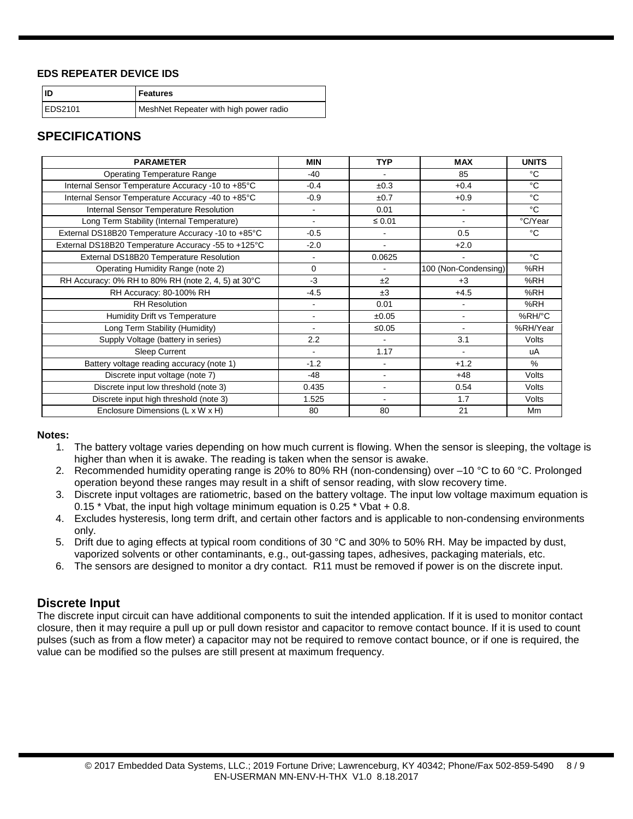#### **EDS REPEATER DEVICE IDS**

|                | Features                               |
|----------------|----------------------------------------|
| <b>EDS2101</b> | MeshNet Repeater with high power radio |

## **SPECIFICATIONS**

| <b>PARAMETER</b>                                    | <b>MIN</b>     | <b>TYP</b>     | <b>MAX</b>           | <b>UNITS</b> |
|-----------------------------------------------------|----------------|----------------|----------------------|--------------|
| <b>Operating Temperature Range</b>                  | $-40$          |                | 85                   | °C           |
| Internal Sensor Temperature Accuracy -10 to +85°C   | $-0.4$         | ±0.3           | $+0.4$               | °C           |
| Internal Sensor Temperature Accuracy -40 to +85°C   | $-0.9$         | ±0.7           | $+0.9$               | °C           |
| Internal Sensor Temperature Resolution              |                | 0.01           |                      | °C           |
| Long Term Stability (Internal Temperature)          |                | $\leq 0.01$    |                      | °C/Year      |
| External DS18B20 Temperature Accuracy -10 to +85°C  | $-0.5$         |                | 0.5                  | °C           |
| External DS18B20 Temperature Accuracy -55 to +125°C | $-2.0$         | $\blacksquare$ | $+2.0$               |              |
| External DS18B20 Temperature Resolution             | $\blacksquare$ | 0.0625         |                      | °C           |
| Operating Humidity Range (note 2)                   | $\Omega$       |                | 100 (Non-Condensing) | %RH          |
| RH Accuracy: 0% RH to 80% RH (note 2, 4, 5) at 30°C | $-3$           | ±2             | $+3$                 | %RH          |
| RH Accuracy: 80-100% RH                             | $-4.5$         | ±3             | $+4.5$               | %RH          |
| <b>RH Resolution</b>                                | $\blacksquare$ | 0.01           | $\blacksquare$       | %RH          |
| Humidity Drift vs Temperature                       |                | ±0.05          |                      | %RH/°C       |
| Long Term Stability (Humidity)                      |                | ≤ $0.05$       |                      | %RH/Year     |
| Supply Voltage (battery in series)                  | 2.2            | $\blacksquare$ | 3.1                  | Volts        |
| <b>Sleep Current</b>                                |                | 1.17           |                      | uA           |
| Battery voltage reading accuracy (note 1)           | $-1.2$         |                | $+1.2$               | $\%$         |
| Discrete input voltage (note 7)                     | $-48$          | $\blacksquare$ | $+48$                | Volts        |
| Discrete input low threshold (note 3)               | 0.435          | $\blacksquare$ | 0.54                 | Volts        |
| Discrete input high threshold (note 3)              | 1.525          |                | 1.7                  | Volts        |
| Enclosure Dimensions (L x W x H)                    | 80             | 80             | 21                   | Mm           |

#### **Notes:**

- 1. The battery voltage varies depending on how much current is flowing. When the sensor is sleeping, the voltage is higher than when it is awake. The reading is taken when the sensor is awake.
- 2. Recommended humidity operating range is 20% to 80% RH (non-condensing) over –10 °C to 60 °C. Prolonged operation beyond these ranges may result in a shift of sensor reading, with slow recovery time.
- 3. Discrete input voltages are ratiometric, based on the battery voltage. The input low voltage maximum equation is 0.15 \* Vbat, the input high voltage minimum equation is 0.25 \* Vbat + 0.8.
- 4. Excludes hysteresis, long term drift, and certain other factors and is applicable to non-condensing environments only.
- 5. Drift due to aging effects at typical room conditions of 30 °C and 30% to 50% RH. May be impacted by dust, vaporized solvents or other contaminants, e.g., out-gassing tapes, adhesives, packaging materials, etc.
- 6. The sensors are designed to monitor a dry contact. R11 must be removed if power is on the discrete input.

#### **Discrete Input**

The discrete input circuit can have additional components to suit the intended application. If it is used to monitor contact closure, then it may require a pull up or pull down resistor and capacitor to remove contact bounce. If it is used to count pulses (such as from a flow meter) a capacitor may not be required to remove contact bounce, or if one is required, the value can be modified so the pulses are still present at maximum frequency.